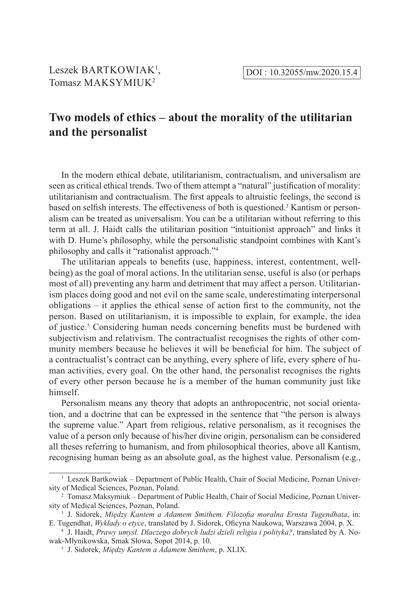# **Two models of ethics – about the morality of the utilitarian and the personalist**

In the modern ethical debate, utilitarianism, contractualism, and universalism are seen as critical ethical trends. Two of them attempt a "natural" justification of morality: utilitarianism and contractualism. The first appeals to altruistic feelings, the second is based on selfish interests. The effectiveness of both is questioned.<sup>3</sup> Kantism or personalism can be treated as universalism. You can be a utilitarian without referring to this term at all. J. Haidt calls the utilitarian position "intuitionist approach" and links it with D. Hume's philosophy, while the personalistic standpoint combines with Kant's philosophy and calls it "rationalist approach."<sup>4</sup>

The utilitarian appeals to benefits (use, happiness, interest, contentment, wellbeing) as the goal of moral actions. In the utilitarian sense, useful is also (or perhaps most of all) preventing any harm and detriment that may affect a person. Utilitarianism places doing good and not evil on the same scale, underestimating interpersonal obligations – it applies the ethical sense of action first to the community, not the person. Based on utilitarianism, it is impossible to explain, for example, the idea of justice.<sup>5</sup> Considering human needs concerning benefits must be burdened with subjectivism and relativism. The contractualist recognises the rights of other community members because he believes it will be beneficial for him. The subject of a contractualist's contract can be anything, every sphere of life, every sphere of human activities, every goal. On the other hand, the personalist recognises the rights of every other person because he is a member of the human community just like himself.

Personalism means any theory that adopts an anthropocentric, not social orientation, and a doctrine that can be expressed in the sentence that "the person is always the supreme value." Apart from religious, relative personalism, as it recognises the value of a person only because of his/her divine origin, personalism can be considered all theses referring to humanism, and from philosophical theories, above all Kantism, recognising human being as an absolute goal, as the highest value. Personalism (e.g.,

 $<sup>1</sup>$  Leszek Bartkowiak – Department of Public Health, Chair of Social Medicine, Poznan Univer-</sup> sity of Medical Sciences, Poznan, Poland.

<sup>2</sup> Tomasz Maksymiuk – Department of Public Health, Chair of Social Medicine, Poznan University of Medical Sciences, Poznan, Poland.

<sup>3</sup> J. Sidorek, *Między Kantem a Adamem Smithem. Filozofia moralna Ernsta Tugendhata*, in: E. Tugendhat, *Wykłady o etyce*, translated by J. Sidorek, Oficyna Naukowa, Warszawa 2004, p. X.

<sup>4</sup> J. Haidt, *Prawy umysł. Dlaczego dobrych ludzi dzieli religia i polityka?*, translated by A. Nowak-Młynikowska, Smak Słowa, Sopot 2014, p. 10.

<sup>5</sup> J. Sidorek, *Między Kantem a Adamem Smithem*, p. XLIX.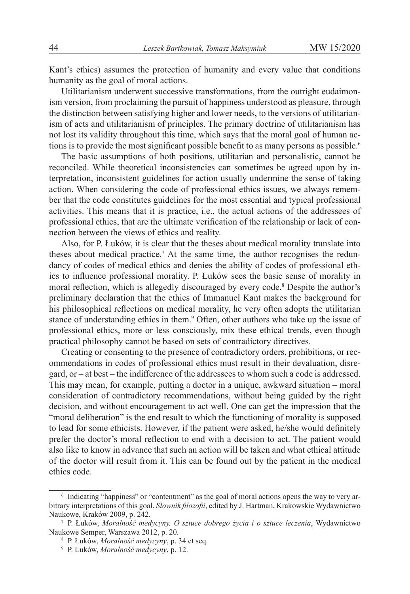Kant's ethics) assumes the protection of humanity and every value that conditions humanity as the goal of moral actions.

Utilitarianism underwent successive transformations, from the outright eudaimonism version, from proclaiming the pursuit of happiness understood as pleasure, through the distinction between satisfying higher and lower needs, to the versions of utilitarianism of acts and utilitarianism of principles. The primary doctrine of utilitarianism has not lost its validity throughout this time, which says that the moral goal of human actions is to provide the most significant possible benefit to as many persons as possible.<sup>6</sup>

The basic assumptions of both positions, utilitarian and personalistic, cannot be reconciled. While theoretical inconsistencies can sometimes be agreed upon by interpretation, inconsistent guidelines for action usually undermine the sense of taking action. When considering the code of professional ethics issues, we always remember that the code constitutes guidelines for the most essential and typical professional activities. This means that it is practice, i.e., the actual actions of the addressees of professional ethics, that are the ultimate verification of the relationship or lack of connection between the views of ethics and reality.

Also, for P. Łuków, it is clear that the theses about medical morality translate into theses about medical practice.<sup>7</sup> At the same time, the author recognises the redundancy of codes of medical ethics and denies the ability of codes of professional ethics to influence professional morality. P. Łuków sees the basic sense of morality in moral reflection, which is allegedly discouraged by every code.<sup>8</sup> Despite the author's preliminary declaration that the ethics of Immanuel Kant makes the background for his philosophical reflections on medical morality, he very often adopts the utilitarian stance of understanding ethics in them.<sup>9</sup> Often, other authors who take up the issue of professional ethics, more or less consciously, mix these ethical trends, even though practical philosophy cannot be based on sets of contradictory directives.

Creating or consenting to the presence of contradictory orders, prohibitions, or recommendations in codes of professional ethics must result in their devaluation, disregard, or – at best – the indifference of the addressees to whom such a code is addressed. This may mean, for example, putting a doctor in a unique, awkward situation – moral consideration of contradictory recommendations, without being guided by the right decision, and without encouragement to act well. One can get the impression that the "moral deliberation" is the end result to which the functioning of morality is supposed to lead for some ethicists. However, if the patient were asked, he/she would definitely prefer the doctor's moral reflection to end with a decision to act. The patient would also like to know in advance that such an action will be taken and what ethical attitude of the doctor will result from it. This can be found out by the patient in the medical ethics code.

<sup>6</sup> Indicating "happiness" or "contentment" as the goal of moral actions opens the way to very arbitrary interpretations of this goal. *Słownik filozofii*, edited by J. Hartman, Krakowskie Wydawnictwo Naukowe, Kraków 2009, p. 242.

<sup>7</sup> P. Łuków, *Moralność medycyny. O sztuce dobrego życia i o sztuce leczenia*, Wydawnictwo Naukowe Semper, Warszawa 2012, p. 20.

<sup>8</sup> P. Łuków, *Moralność medycyny*, p. 34 et seq.

<sup>9</sup> P. Łuków, *Moralność medycyny*, p. 12.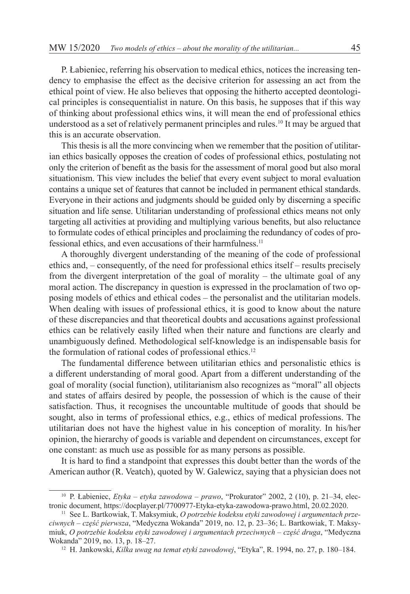P. Łabieniec, referring his observation to medical ethics, notices the increasing tendency to emphasise the effect as the decisive criterion for assessing an act from the ethical point of view. He also believes that opposing the hitherto accepted deontological principles is consequentialist in nature. On this basis, he supposes that if this way of thinking about professional ethics wins, it will mean the end of professional ethics understood as a set of relatively permanent principles and rules.<sup>10</sup> It may be argued that this is an accurate observation.

This thesis is all the more convincing when we remember that the position of utilitarian ethics basically opposes the creation of codes of professional ethics, postulating not only the criterion of benefit as the basis for the assessment of moral good but also moral situationism. This view includes the belief that every event subject to moral evaluation contains a unique set of features that cannot be included in permanent ethical standards. Everyone in their actions and judgments should be guided only by discerning a specific situation and life sense. Utilitarian understanding of professional ethics means not only targeting all activities at providing and multiplying various benefits, but also reluctance to formulate codes of ethical principles and proclaiming the redundancy of codes of professional ethics, and even accusations of their harmfulness.<sup>11</sup>

A thoroughly divergent understanding of the meaning of the code of professional ethics and, – consequently, of the need for professional ethics itself – results precisely from the divergent interpretation of the goal of morality – the ultimate goal of any moral action. The discrepancy in question is expressed in the proclamation of two opposing models of ethics and ethical codes – the personalist and the utilitarian models. When dealing with issues of professional ethics, it is good to know about the nature of these discrepancies and that theoretical doubts and accusations against professional ethics can be relatively easily lifted when their nature and functions are clearly and unambiguously defined. Methodological self-knowledge is an indispensable basis for the formulation of rational codes of professional ethics.<sup>12</sup>

The fundamental difference between utilitarian ethics and personalistic ethics is a different understanding of moral good. Apart from a different understanding of the goal of morality (social function), utilitarianism also recognizes as "moral" all objects and states of affairs desired by people, the possession of which is the cause of their satisfaction. Thus, it recognises the uncountable multitude of goods that should be sought, also in terms of professional ethics, e.g., ethics of medical professions. The utilitarian does not have the highest value in his conception of morality. In his/her opinion, the hierarchy of goods is variable and dependent on circumstances, except for one constant: as much use as possible for as many persons as possible.

It is hard to find a standpoint that expresses this doubt better than the words of the American author (R. Veatch), quoted by W. Galewicz, saying that a physician does not

<sup>10</sup> P. Łabieniec, *Etyka – etyka zawodowa – prawo*, "Prokurator" 2002, 2 (10), p. 21–34, electronic document, https://docplayer.pl/7700977-Etyka-etyka-zawodowa-prawo.html, 20.02.2020.

<sup>11</sup> See L. Bartkowiak, T. Maksymiuk, *O potrzebie kodeksu etyki zawodowej i argumentach przeciwnych – część pierwsza*, "Medyczna Wokanda" 2019, no. 12, p. 23–36; L. Bartkowiak, T. Maksymiuk, *O potrzebie kodeksu etyki zawodowej i argumentach przeciwnych – część druga*, "Medyczna Wokanda" 2019, no. 13, p. 18–27.

<sup>12</sup> H. Jankowski, *Kilka uwag na temat etyki zawodowej*, "Etyka", R. 1994, no. 27, p. 180–184.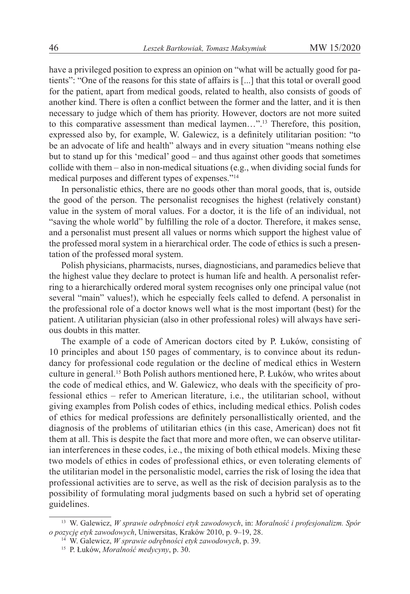have a privileged position to express an opinion on "what will be actually good for patients": "One of the reasons for this state of affairs is [...] that this total or overall good for the patient, apart from medical goods, related to health, also consists of goods of another kind. There is often a conflict between the former and the latter, and it is then necessary to judge which of them has priority. However, doctors are not more suited to this comparative assessment than medical laymen…".13 Therefore, this position, expressed also by, for example, W. Galewicz, is a definitely utilitarian position: "to be an advocate of life and health" always and in every situation "means nothing else but to stand up for this 'medical' good – and thus against other goods that sometimes collide with them – also in non-medical situations (e.g., when dividing social funds for medical purposes and different types of expenses."<sup>14</sup>

In personalistic ethics, there are no goods other than moral goods, that is, outside the good of the person. The personalist recognises the highest (relatively constant) value in the system of moral values. For a doctor, it is the life of an individual, not "saving the whole world" by fulfilling the role of a doctor. Therefore, it makes sense, and a personalist must present all values or norms which support the highest value of the professed moral system in a hierarchical order. The code of ethics is such a presentation of the professed moral system.

Polish physicians, pharmacists, nurses, diagnosticians, and paramedics believe that the highest value they declare to protect is human life and health. A personalist referring to a hierarchically ordered moral system recognises only one principal value (not several "main" values!), which he especially feels called to defend. A personalist in the professional role of a doctor knows well what is the most important (best) for the patient. A utilitarian physician (also in other professional roles) will always have serious doubts in this matter.

The example of a code of American doctors cited by P. Łuków, consisting of 10 principles and about 150 pages of commentary, is to convince about its redundancy for professional code regulation or the decline of medical ethics in Western culture in general.<sup>15</sup> Both Polish authors mentioned here, P. Łuków, who writes about the code of medical ethics, and W. Galewicz, who deals with the specificity of professional ethics – refer to American literature, i.e., the utilitarian school, without giving examples from Polish codes of ethics, including medical ethics. Polish codes of ethics for medical professions are definitely personallistically oriented, and the diagnosis of the problems of utilitarian ethics (in this case, American) does not fit them at all. This is despite the fact that more and more often, we can observe utilitarian interferences in these codes, i.e., the mixing of both ethical models. Mixing these two models of ethics in codes of professional ethics, or even tolerating elements of the utilitarian model in the personalistic model, carries the risk of losing the idea that professional activities are to serve, as well as the risk of decision paralysis as to the possibility of formulating moral judgments based on such a hybrid set of operating guidelines.

<sup>13</sup> W. Galewicz, *W sprawie odrębności etyk zawodowych*, in: *Moralność i profesjonalizm. Spór o pozycję etyk zawodowych*, Uniwersitas, Kraków 2010, p. 9–19, 28.

<sup>14</sup> W. Galewicz, *W sprawie odrębności etyk zawodowych*, p. 39.

<sup>15</sup> P. Łuków, *Moralność medycyny*, p. 30.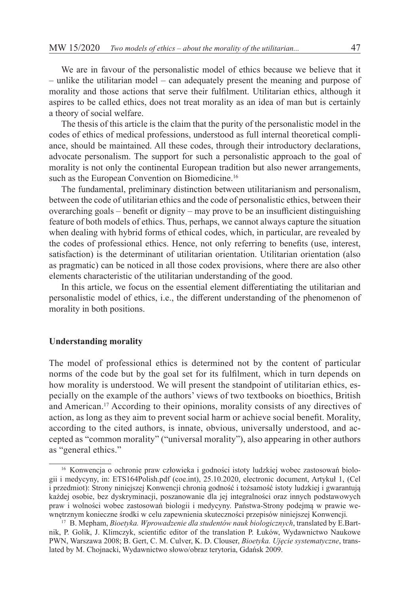We are in favour of the personalistic model of ethics because we believe that it – unlike the utilitarian model – can adequately present the meaning and purpose of morality and those actions that serve their fulfilment. Utilitarian ethics, although it aspires to be called ethics, does not treat morality as an idea of man but is certainly a theory of social welfare.

The thesis of this article is the claim that the purity of the personalistic model in the codes of ethics of medical professions, understood as full internal theoretical compliance, should be maintained. All these codes, through their introductory declarations, advocate personalism. The support for such a personalistic approach to the goal of morality is not only the continental European tradition but also newer arrangements, such as the European Convention on Biomedicine.<sup>16</sup>

The fundamental, preliminary distinction between utilitarianism and personalism, between the code of utilitarian ethics and the code of personalistic ethics, between their overarching goals – benefit or dignity – may prove to be an insufficient distinguishing feature of both models of ethics. Thus, perhaps, we cannot always capture the situation when dealing with hybrid forms of ethical codes, which, in particular, are revealed by the codes of professional ethics. Hence, not only referring to benefits (use, interest, satisfaction) is the determinant of utilitarian orientation. Utilitarian orientation (also as pragmatic) can be noticed in all those codex provisions, where there are also other elements characteristic of the utilitarian understanding of the good.

In this article, we focus on the essential element differentiating the utilitarian and personalistic model of ethics, i.e., the different understanding of the phenomenon of morality in both positions.

## **Understanding morality**

The model of professional ethics is determined not by the content of particular norms of the code but by the goal set for its fulfilment, which in turn depends on how morality is understood. We will present the standpoint of utilitarian ethics, especially on the example of the authors' views of two textbooks on bioethics, British and American.17 According to their opinions, morality consists of any directives of action, as long as they aim to prevent social harm or achieve social benefit. Morality, according to the cited authors, is innate, obvious, universally understood, and accepted as "common morality" ("universal morality"), also appearing in other authors as "general ethics."

<sup>16</sup> Konwencja o ochronie praw człowieka i godności istoty ludzkiej wobec zastosowań biologii i medycyny, in: ETS164Polish.pdf (coe.int), 25.10.2020, electronic document, Artykuł 1, (Cel i przedmiot): Strony niniejszej Konwencji chronią godność i tożsamość istoty ludzkiej i gwarantują każdej osobie, bez dyskryminacji, poszanowanie dla jej integralności oraz innych podstawowych praw i wolności wobec zastosowań biologii i medycyny. Państwa-Strony podejmą w prawie wewnętrznym konieczne środki w celu zapewnienia skuteczności przepisów niniejszej Konwencji*.*

<sup>17</sup> B. Mepham, *Bioetyka. Wprowadzenie dla studentów nauk biologicznych*, translated by E.Bartnik, P. Golik, J. Klimczyk, scientific editor of the translation P. Łuków, Wydawnictwo Naukowe PWN, Warszawa 2008; B. Gert, C. M. Culver, K. D. Clouser, *Bioetyka. Ujęcie systematyczne*, translated by M. Chojnacki, Wydawnictwo słowo/obraz terytoria, Gdańsk 2009.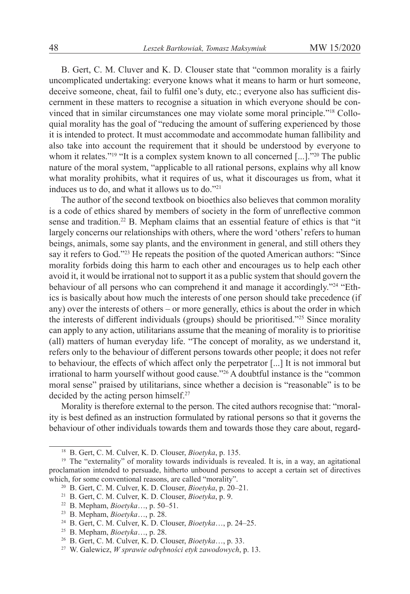B. Gert, C. M. Cluver and K. D. Clouser state that "common morality is a fairly uncomplicated undertaking: everyone knows what it means to harm or hurt someone, deceive someone, cheat, fail to fulfil one's duty, etc.; everyone also has sufficient discernment in these matters to recognise a situation in which everyone should be convinced that in similar circumstances one may violate some moral principle."18 Colloquial morality has the goal of "reducing the amount of suffering experienced by those it is intended to protect. It must accommodate and accommodate human fallibility and also take into account the requirement that it should be understood by everyone to whom it relates."<sup>19</sup> "It is a complex system known to all concerned [...]."<sup>20</sup> The public nature of the moral system, "applicable to all rational persons, explains why all know what morality prohibits, what it requires of us, what it discourages us from, what it induces us to do, and what it allows us to do."21

The author of the second textbook on bioethics also believes that common morality is a code of ethics shared by members of society in the form of unreflective common sense and tradition.<sup>22</sup> B. Mepham claims that an essential feature of ethics is that "it largely concerns our relationships with others, where the word 'others' refers to human beings, animals, some say plants, and the environment in general, and still others they say it refers to God."<sup>23</sup> He repeats the position of the quoted American authors: "Since morality forbids doing this harm to each other and encourages us to help each other avoid it, it would be irrational not to support it as a public system that should govern the behaviour of all persons who can comprehend it and manage it accordingly."<sup>24</sup> "Ethics is basically about how much the interests of one person should take precedence (if any) over the interests of others – or more generally, ethics is about the order in which the interests of different individuals (groups) should be prioritised."<sup>25</sup> Since morality can apply to any action, utilitarians assume that the meaning of morality is to prioritise (all) matters of human everyday life. "The concept of morality, as we understand it, refers only to the behaviour of different persons towards other people; it does not refer to behaviour, the effects of which affect only the perpetrator [...] It is not immoral but irrational to harm yourself without good cause."26 A doubtful instance is the "common moral sense" praised by utilitarians, since whether a decision is "reasonable" is to be decided by the acting person himself.<sup>27</sup>

Morality is therefore external to the person. The cited authors recognise that: "morality is best defined as an instruction formulated by rational persons so that it governs the behaviour of other individuals towards them and towards those they care about, regard-

<sup>18</sup> B. Gert, C. M. Culver, K. D. Clouser, *Bioetyka*, p. 135.

<sup>19</sup> The "externality" of morality towards individuals is revealed. It is, in a way, an agitational proclamation intended to persuade, hitherto unbound persons to accept a certain set of directives which, for some conventional reasons, are called "morality".

<sup>20</sup> B. Gert, C. M. Culver, K. D. Clouser, *Bioetyka*, p. 20–21.

<sup>21</sup> B. Gert, C. M. Culver, K. D. Clouser, *Bioetyka*, p. 9.

<sup>22</sup> B. Mepham, *Bioetyka*…, p. 50–51.

<sup>23</sup> B. Mepham, *Bioetyka*…, p. 28.

<sup>24</sup> B. Gert, C. M. Culver, K. D. Clouser, *Bioetyka*…, p. 24–25.

<sup>25</sup> B. Mepham, *Bioetyka*…, p. 28.

<sup>26</sup> B. Gert, C. M. Culver, K. D. Clouser, *Bioetyka*…, p. 33.

<sup>27</sup> W. Galewicz, *W sprawie odrębności etyk zawodowych*, p. 13.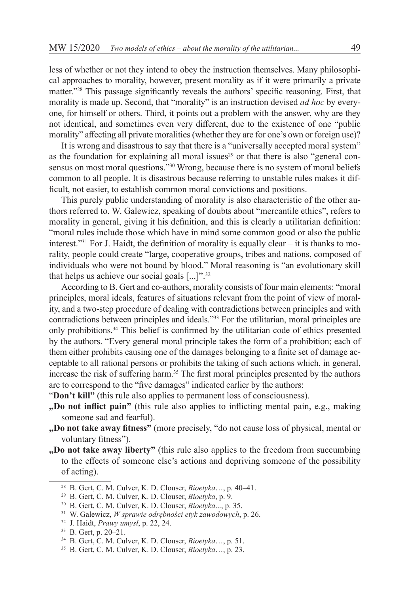less of whether or not they intend to obey the instruction themselves. Many philosophical approaches to morality, however, present morality as if it were primarily a private matter."28 This passage significantly reveals the authors' specific reasoning. First, that morality is made up. Second, that "morality" is an instruction devised *ad hoc* by everyone, for himself or others. Third, it points out a problem with the answer, why are they not identical, and sometimes even very different, due to the existence of one "public morality" affecting all private moralities (whether they are for one's own or foreign use)?

It is wrong and disastrous to say that there is a "universally accepted moral system" as the foundation for explaining all moral issues<sup>29</sup> or that there is also "general consensus on most moral questions."<sup>30</sup> Wrong, because there is no system of moral beliefs common to all people. It is disastrous because referring to unstable rules makes it difficult, not easier, to establish common moral convictions and positions.

This purely public understanding of morality is also characteristic of the other authors referred to. W. Galewicz, speaking of doubts about "mercantile ethics", refers to morality in general, giving it his definition, and this is clearly a utilitarian definition: "moral rules include those which have in mind some common good or also the public interest."31 For J. Haidt, the definition of morality is equally clear – it is thanks to morality, people could create "large, cooperative groups, tribes and nations, composed of individuals who were not bound by blood." Moral reasoning is "an evolutionary skill that helps us achieve our social goals  $[...]$ <sup>".32</sup>

According to B. Gert and co-authors, morality consists of four main elements: "moral principles, moral ideals, features of situations relevant from the point of view of morality, and a two-step procedure of dealing with contradictions between principles and with contradictions between principles and ideals."33 For the utilitarian, moral principles are only prohibitions.<sup>34</sup> This belief is confirmed by the utilitarian code of ethics presented by the authors. "Every general moral principle takes the form of a prohibition; each of them either prohibits causing one of the damages belonging to a finite set of damage acceptable to all rational persons or prohibits the taking of such actions which, in general, increase the risk of suffering harm.<sup>35</sup> The first moral principles presented by the authors are to correspond to the "five damages" indicated earlier by the authors:

"Don't kill" (this rule also applies to permanent loss of consciousness).

- **"Do not inflict pain"** (this rule also applies to inflicting mental pain, e.g., making someone sad and fearful).
- **"Do not take away fitness"** (more precisely, "do not cause loss of physical, mental or voluntary fitness").
- **"Do not take away liberty"** (this rule also applies to the freedom from succumbing to the effects of someone else's actions and depriving someone of the possibility of acting).

<sup>28</sup> B. Gert, C. M. Culver, K. D. Clouser, *Bioetyka*…, p. 40–41.

<sup>29</sup> B. Gert, C. M. Culver, K. D. Clouser, *Bioetyka*, p. 9.

<sup>30</sup> B. Gert, C. M. Culver, K. D. Clouser, *Bioetyka*..., p. 35.

<sup>31</sup> W. Galewicz, *W sprawie odrębności etyk zawodowych*, p. 26.

<sup>32</sup> J. Haidt, *Prawy umysł*, p. 22, 24.

<sup>33</sup> B. Gert, p. 20–21.

<sup>34</sup> B. Gert, C. M. Culver, K. D. Clouser, *Bioetyka*…, p. 51.

<sup>35</sup> B. Gert, C. M. Culver, K. D. Clouser, *Bioetyka*…, p. 23.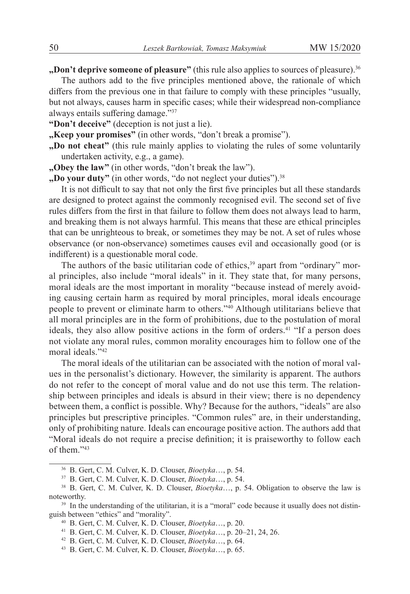**"Don't deprive someone of pleasure"** (this rule also applies to sources of pleasure).<sup>36</sup>

The authors add to the five principles mentioned above, the rationale of which differs from the previous one in that failure to comply with these principles "usually, but not always, causes harm in specific cases; while their widespread non-compliance always entails suffering damage."<sup>37</sup>

**"Don't deceive"** (deception is not just a lie).

**"Keep your promises"** (in other words, "don't break a promise").

**"Do not cheat"** (this rule mainly applies to violating the rules of some voluntarily undertaken activity, e.g., a game).

**"Obey the law"** (in other words, "don't break the law").

**,Do your duty"** (in other words, "do not neglect your duties").<sup>38</sup>

It is not difficult to say that not only the first five principles but all these standards are designed to protect against the commonly recognised evil. The second set of five rules differs from the first in that failure to follow them does not always lead to harm, and breaking them is not always harmful. This means that these are ethical principles that can be unrighteous to break, or sometimes they may be not. A set of rules whose observance (or non-observance) sometimes causes evil and occasionally good (or is indifferent) is a questionable moral code.

The authors of the basic utilitarian code of ethics, $39$  apart from "ordinary" moral principles, also include "moral ideals" in it. They state that, for many persons, moral ideals are the most important in morality "because instead of merely avoiding causing certain harm as required by moral principles, moral ideals encourage people to prevent or eliminate harm to others."40 Although utilitarians believe that all moral principles are in the form of prohibitions, due to the postulation of moral ideals, they also allow positive actions in the form of orders.<sup>41</sup> "If a person does not violate any moral rules, common morality encourages him to follow one of the moral ideals."<sup>42</sup>

The moral ideals of the utilitarian can be associated with the notion of moral values in the personalist's dictionary. However, the similarity is apparent. The authors do not refer to the concept of moral value and do not use this term. The relationship between principles and ideals is absurd in their view; there is no dependency between them, a conflict is possible. Why? Because for the authors, "ideals" are also principles but prescriptive principles. "Common rules" are, in their understanding, only of prohibiting nature. Ideals can encourage positive action. The authors add that "Moral ideals do not require a precise definition; it is praiseworthy to follow each of them."43

<sup>36</sup> B. Gert, C. M. Culver, K. D. Clouser, *Bioetyka*…, p. 54.

<sup>37</sup> B. Gert, C. M. Culver, K. D. Clouser, *Bioetyka*…, p. 54.

<sup>38</sup> B. Gert, C. M. Culver, K. D. Clouser, *Bioetyka*…, p. 54. Obligation to observe the law is noteworthy.

<sup>&</sup>lt;sup>39</sup> In the understanding of the utilitarian, it is a "moral" code because it usually does not distinguish between "ethics" and "morality".

<sup>40</sup> B. Gert, C. M. Culver, K. D. Clouser, *Bioetyka*…, p. 20.

<sup>41</sup> B. Gert, C. M. Culver, K. D. Clouser, *Bioetyka*…, p. 20–21, 24, 26.

<sup>42</sup> B. Gert, C. M. Culver, K. D. Clouser, *Bioetyka*…, p. 64.

<sup>43</sup> B. Gert, C. M. Culver, K. D. Clouser, *Bioetyka*…, p. 65.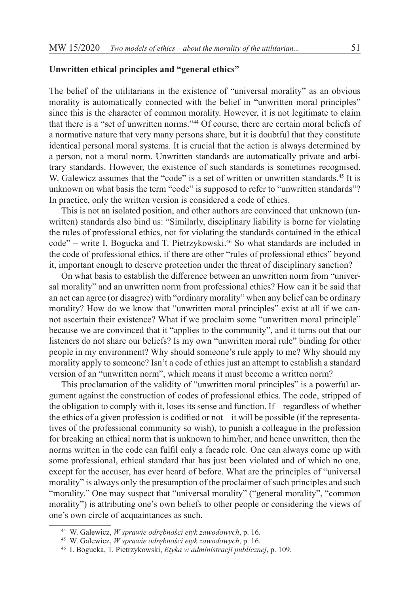## **Unwritten ethical principles and "general ethics"**

The belief of the utilitarians in the existence of "universal morality" as an obvious morality is automatically connected with the belief in "unwritten moral principles" since this is the character of common morality. However, it is not legitimate to claim that there is a "set of unwritten norms."44 Of course, there are certain moral beliefs of a normative nature that very many persons share, but it is doubtful that they constitute identical personal moral systems. It is crucial that the action is always determined by a person, not a moral norm. Unwritten standards are automatically private and arbitrary standards. However, the existence of such standards is sometimes recognised. W. Galewicz assumes that the "code" is a set of written or unwritten standards.<sup>45</sup> It is unknown on what basis the term "code" is supposed to refer to "unwritten standards"? In practice, only the written version is considered a code of ethics.

This is not an isolated position, and other authors are convinced that unknown (unwritten) standards also bind us: "Similarly, disciplinary liability is borne for violating the rules of professional ethics, not for violating the standards contained in the ethical code" – write I. Bogucka and T. Pietrzykowski.46 So what standards are included in the code of professional ethics, if there are other "rules of professional ethics" beyond it, important enough to deserve protection under the threat of disciplinary sanction?

On what basis to establish the difference between an unwritten norm from "universal morality" and an unwritten norm from professional ethics? How can it be said that an act can agree (or disagree) with "ordinary morality" when any belief can be ordinary morality? How do we know that "unwritten moral principles" exist at all if we cannot ascertain their existence? What if we proclaim some "unwritten moral principle" because we are convinced that it "applies to the community", and it turns out that our listeners do not share our beliefs? Is my own "unwritten moral rule" binding for other people in my environment? Why should someone's rule apply to me? Why should my morality apply to someone? Isn't a code of ethics just an attempt to establish a standard version of an "unwritten norm", which means it must become a written norm?

This proclamation of the validity of "unwritten moral principles" is a powerful argument against the construction of codes of professional ethics. The code, stripped of the obligation to comply with it, loses its sense and function. If – regardless of whether the ethics of a given profession is codified or not – it will be possible (if the representatives of the professional community so wish), to punish a colleague in the profession for breaking an ethical norm that is unknown to him/her, and hence unwritten, then the norms written in the code can fulfil only a facade role. One can always come up with some professional, ethical standard that has just been violated and of which no one, except for the accuser, has ever heard of before. What are the principles of "universal morality" is always only the presumption of the proclaimer of such principles and such "morality." One may suspect that "universal morality" ("general morality", "common morality") is attributing one's own beliefs to other people or considering the views of one's own circle of acquaintances as such.

<sup>44</sup> W. Galewicz, *W sprawie odrębności etyk zawodowych*, p. 16.

<sup>45</sup> W. Galewicz, *W sprawie odrębności etyk zawodowych*, p. 16.

<sup>46</sup> I. Bogucka, T. Pietrzykowski, *Etyka w administracji publicznej*, p. 109.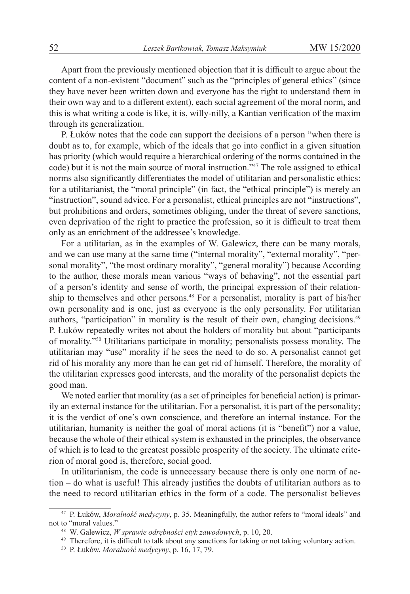Apart from the previously mentioned objection that it is difficult to argue about the content of a non-existent "document" such as the "principles of general ethics" (since they have never been written down and everyone has the right to understand them in their own way and to a different extent), each social agreement of the moral norm, and this is what writing a code is like, it is, willy-nilly, a Kantian verification of the maxim through its generalization.

P. Łuków notes that the code can support the decisions of a person "when there is doubt as to, for example, which of the ideals that go into conflict in a given situation has priority (which would require a hierarchical ordering of the norms contained in the code) but it is not the main source of moral instruction."<sup>47</sup> The role assigned to ethical norms also significantly differentiates the model of utilitarian and personalistic ethics: for a utilitarianist, the "moral principle" (in fact, the "ethical principle") is merely an "instruction", sound advice. For a personalist, ethical principles are not "instructions", but prohibitions and orders, sometimes obliging, under the threat of severe sanctions, even deprivation of the right to practice the profession, so it is difficult to treat them only as an enrichment of the addressee's knowledge.

For a utilitarian, as in the examples of W. Galewicz, there can be many morals, and we can use many at the same time ("internal morality", "external morality", "personal morality", "the most ordinary morality", "general morality") because According to the author, these morals mean various "ways of behaving", not the essential part of a person's identity and sense of worth, the principal expression of their relationship to themselves and other persons.<sup>48</sup> For a personalist, morality is part of his/her own personality and is one, just as everyone is the only personality. For utilitarian authors, "participation" in morality is the result of their own, changing decisions.<sup>49</sup> P. Łuków repeatedly writes not about the holders of morality but about "participants of morality."<sup>50</sup> Utilitarians participate in morality; personalists possess morality. The utilitarian may "use" morality if he sees the need to do so. A personalist cannot get rid of his morality any more than he can get rid of himself. Therefore, the morality of the utilitarian expresses good interests, and the morality of the personalist depicts the good man.

We noted earlier that morality (as a set of principles for beneficial action) is primarily an external instance for the utilitarian. For a personalist, it is part of the personality; it is the verdict of one's own conscience, and therefore an internal instance. For the utilitarian, humanity is neither the goal of moral actions (it is "benefit") nor a value, because the whole of their ethical system is exhausted in the principles, the observance of which is to lead to the greatest possible prosperity of the society. The ultimate criterion of moral good is, therefore, social good.

In utilitarianism, the code is unnecessary because there is only one norm of action – do what is useful! This already justifies the doubts of utilitarian authors as to the need to record utilitarian ethics in the form of a code. The personalist believes

<sup>47</sup> P. Łuków, *Moralność medycyny*, p. 35. Meaningfully, the author refers to "moral ideals" and not to "moral values."

<sup>48</sup> W. Galewicz, *W sprawie odrębności etyk zawodowych*, p. 10, 20.

<sup>49</sup> Therefore, it is difficult to talk about any sanctions for taking or not taking voluntary action.

<sup>50</sup> P. Łuków, *Moralność medycyny*, p. 16, 17, 79.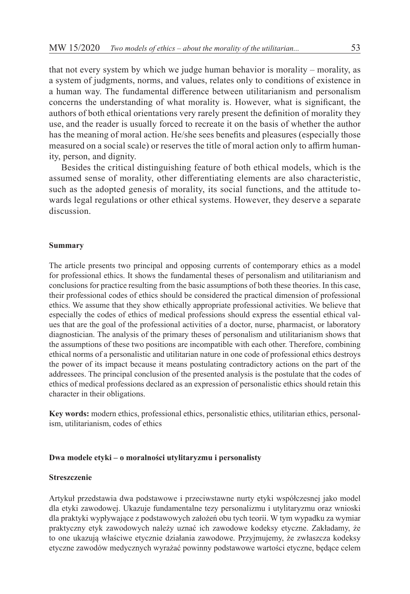that not every system by which we judge human behavior is morality – morality, as a system of judgments, norms, and values, relates only to conditions of existence in a human way. The fundamental difference between utilitarianism and personalism concerns the understanding of what morality is. However, what is significant, the authors of both ethical orientations very rarely present the definition of morality they use, and the reader is usually forced to recreate it on the basis of whether the author has the meaning of moral action. He/she sees benefits and pleasures (especially those measured on a social scale) or reserves the title of moral action only to affirm humanity, person, and dignity.

Besides the critical distinguishing feature of both ethical models, which is the assumed sense of morality, other differentiating elements are also characteristic, such as the adopted genesis of morality, its social functions, and the attitude towards legal regulations or other ethical systems. However, they deserve a separate discussion.

#### **Summary**

The article presents two principal and opposing currents of contemporary ethics as a model for professional ethics. It shows the fundamental theses of personalism and utilitarianism and conclusions for practice resulting from the basic assumptions of both these theories. In this case, their professional codes of ethics should be considered the practical dimension of professional ethics. We assume that they show ethically appropriate professional activities. We believe that especially the codes of ethics of medical professions should express the essential ethical values that are the goal of the professional activities of a doctor, nurse, pharmacist, or laboratory diagnostician. The analysis of the primary theses of personalism and utilitarianism shows that the assumptions of these two positions are incompatible with each other. Therefore, combining ethical norms of a personalistic and utilitarian nature in one code of professional ethics destroys the power of its impact because it means postulating contradictory actions on the part of the addressees. The principal conclusion of the presented analysis is the postulate that the codes of ethics of medical professions declared as an expression of personalistic ethics should retain this character in their obligations.

**Key words:** modern ethics, professional ethics, personalistic ethics, utilitarian ethics, personalism, utilitarianism, codes of ethics

## **Dwa modele etyki – o moralności utylitaryzmu i personalisty**

### **Streszczenie**

Artykuł przedstawia dwa podstawowe i przeciwstawne nurty etyki współczesnej jako model dla etyki zawodowej. Ukazuje fundamentalne tezy personalizmu i utylitaryzmu oraz wnioski dla praktyki wypływające z podstawowych założeń obu tych teorii. W tym wypadku za wymiar praktyczny etyk zawodowych należy uznać ich zawodowe kodeksy etyczne. Zakładamy, że to one ukazują właściwe etycznie działania zawodowe. Przyjmujemy, że zwłaszcza kodeksy etyczne zawodów medycznych wyrażać powinny podstawowe wartości etyczne, będące celem